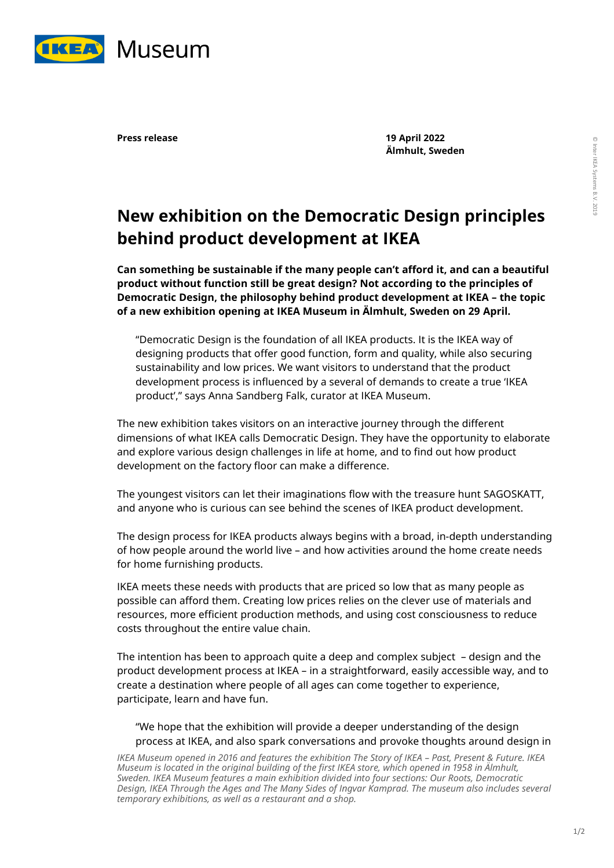

**Press release 19 April 2022 Älmhult, Sweden**

## **New exhibition on the Democratic Design principles behind product development at IKEA**

**Can something be sustainable if the many people can't afford it, and can a beautiful product without function still be great design? Not according to the principles of Democratic Design, the philosophy behind product development at IKEA – the topic of a new exhibition opening at IKEA Museum in Älmhult, Sweden on 29 April.**

"Democratic Design is the foundation of all IKEA products. It is the IKEA way of designing products that offer good function, form and quality, while also securing sustainability and low prices. We want visitors to understand that the product development process is influenced by a several of demands to create a true 'IKEA product'," says Anna Sandberg Falk, curator at IKEA Museum.

The new exhibition takes visitors on an interactive journey through the different dimensions of what IKEA calls Democratic Design. They have the opportunity to elaborate and explore various design challenges in life at home, and to find out how product development on the factory floor can make a difference.

The youngest visitors can let their imaginations flow with the treasure hunt SAGOSKATT, and anyone who is curious can see behind the scenes of IKEA product development.

The design process for IKEA products always begins with a broad, in-depth understanding of how people around the world live – and how activities around the home create needs for home furnishing products.

IKEA meets these needs with products that are priced so low that as many people as possible can afford them. Creating low prices relies on the clever use of materials and resources, more efficient production methods, and using cost consciousness to reduce costs throughout the entire value chain.

The intention has been to approach quite a deep and complex subject – design and the product development process at IKEA – in a straightforward, easily accessible way, and to create a destination where people of all ages can come together to experience, participate, learn and have fun.

"We hope that the exhibition will provide a deeper understanding of the design process at IKEA, and also spark conversations and provoke thoughts around design in

*IKEA Museum opened in 2016 and features the exhibition The Story of IKEA - Past, Present & Future. IKEA Museum is located in the original building of the first IKEA store, which opened in 1958 in Älmhult, Sweden. IKEA Museum features a main exhibition divided into four sections: Our Roots, Democratic Design, IKEA Through the Ages and The Many Sides of Ingvar Kamprad. The museum also includes several temporary exhibitions, as well as a restaurant and a shop.*